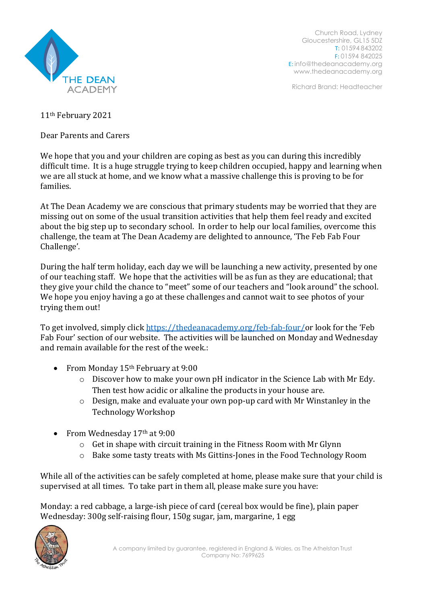

Church Road, Lydney Gloucestershire, GL15 5DZ T: 01594 843202 F: 01594 842025 E: [info@thedeanacademy.org](mailto:info@thedeanacademy.org) [www.thedeanacademy.org](http://www.thedeanacademy.org/)

Richard Brand: Headteacher

11th February 2021

Dear Parents and Carers

We hope that you and your children are coping as best as you can during this incredibly difficult time. It is a huge struggle trying to keep children occupied, happy and learning when we are all stuck at home, and we know what a massive challenge this is proving to be for families.

At The Dean Academy we are conscious that primary students may be worried that they are missing out on some of the usual transition activities that help them feel ready and excited about the big step up to secondary school. In order to help our local families, overcome this challenge, the team at The Dean Academy are delighted to announce, 'The Feb Fab Four Challenge'.

During the half term holiday, each day we will be launching a new activity, presented by one of our teaching staff. We hope that the activities will be as fun as they are educational; that they give your child the chance to "meet" some of our teachers and "look around" the school. We hope you enjoy having a go at these challenges and cannot wait to see photos of your trying them out!

To get involved, simply click [https://thedeanacademy.org/feb-fab-four/o](https://thedeanacademy.org/feb-fab-four/)r look for the 'Feb Fab Four' section of our website. The activities will be launched on Monday and Wednesday and remain available for the rest of the week.:

- From Monday 15th February at 9:00
	- o Discover how to make your own pH indicator in the Science Lab with Mr Edy. Then test how acidic or alkaline the products in your house are.
	- o Design, make and evaluate your own pop-up card with Mr Winstanley in the Technology Workshop
- From Wednesday 17<sup>th</sup> at 9:00
	- o Get in shape with circuit training in the Fitness Room with Mr Glynn
	- o Bake some tasty treats with Ms Gittins-Jones in the Food Technology Room

While all of the activities can be safely completed at home, please make sure that your child is supervised at all times. To take part in them all, please make sure you have:

Monday: a red cabbage, a large-ish piece of card (cereal box would be fine), plain paper Wednesday: 300g self-raising flour, 150g sugar, jam, margarine, 1 egg